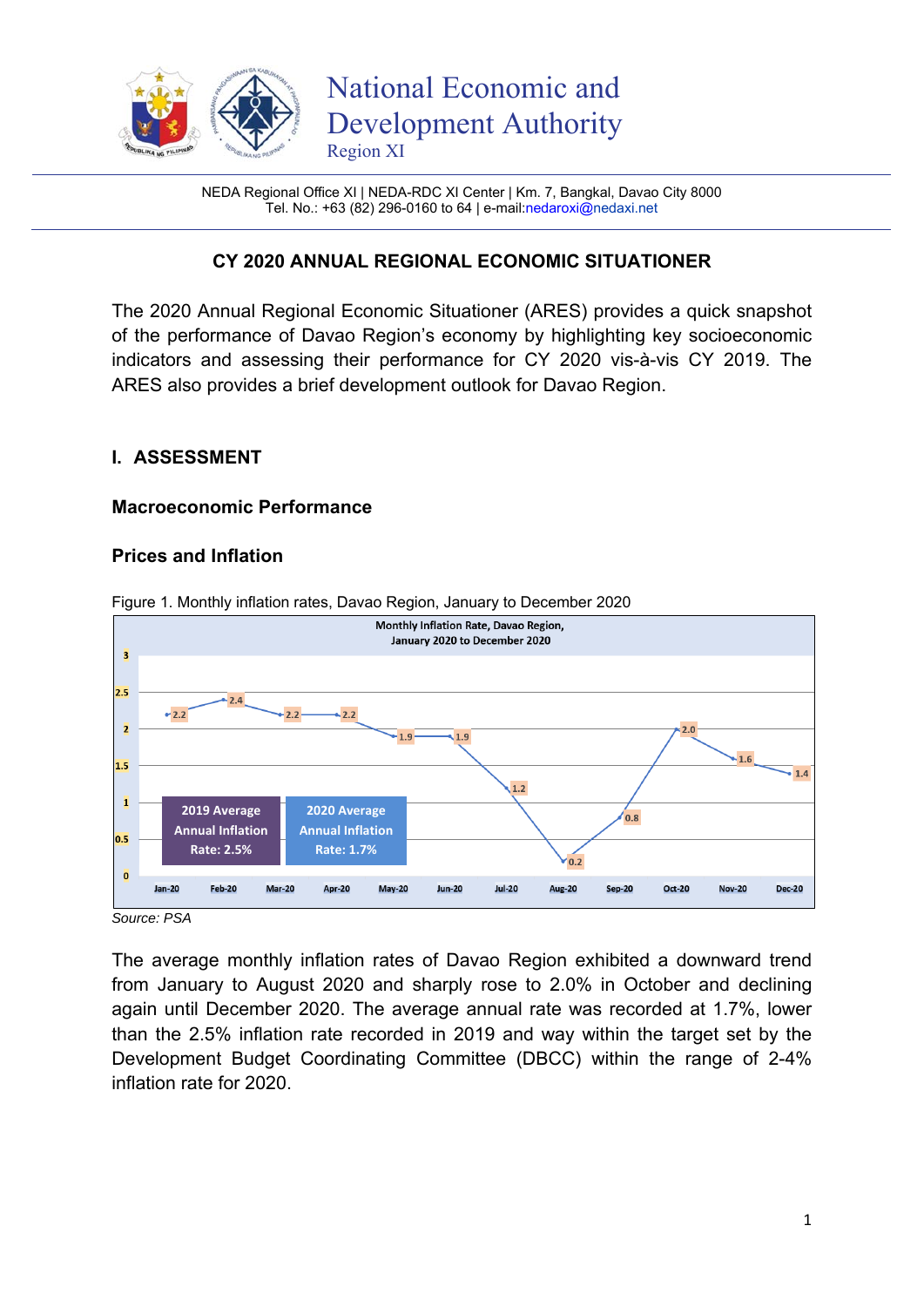

NEDA Regional Office XI | NEDA-RDC XI Center | Km. 7, Bangkal, Davao City 8000 Tel. No.: +63 (82) 296-0160 to 64 | e-mail:nedaroxi@nedaxi.net

# **CY 2020 ANNUAL REGIONAL ECONOMIC SITUATIONER**

The 2020 Annual Regional Economic Situationer (ARES) provides a quick snapshot of the performance of Davao Region's economy by highlighting key socioeconomic indicators and assessing their performance for CY 2020 vis-à-vis CY 2019. The ARES also provides a brief development outlook for Davao Region.

### **I. ASSESSMENT**

#### **Macroeconomic Performance**

#### **Prices and Inflation**



Figure 1. Monthly inflation rates, Davao Region, January to December 2020

*Source: PSA* 

The average monthly inflation rates of Davao Region exhibited a downward trend from January to August 2020 and sharply rose to 2.0% in October and declining again until December 2020. The average annual rate was recorded at 1.7%, lower than the 2.5% inflation rate recorded in 2019 and way within the target set by the Development Budget Coordinating Committee (DBCC) within the range of 2-4% inflation rate for 2020.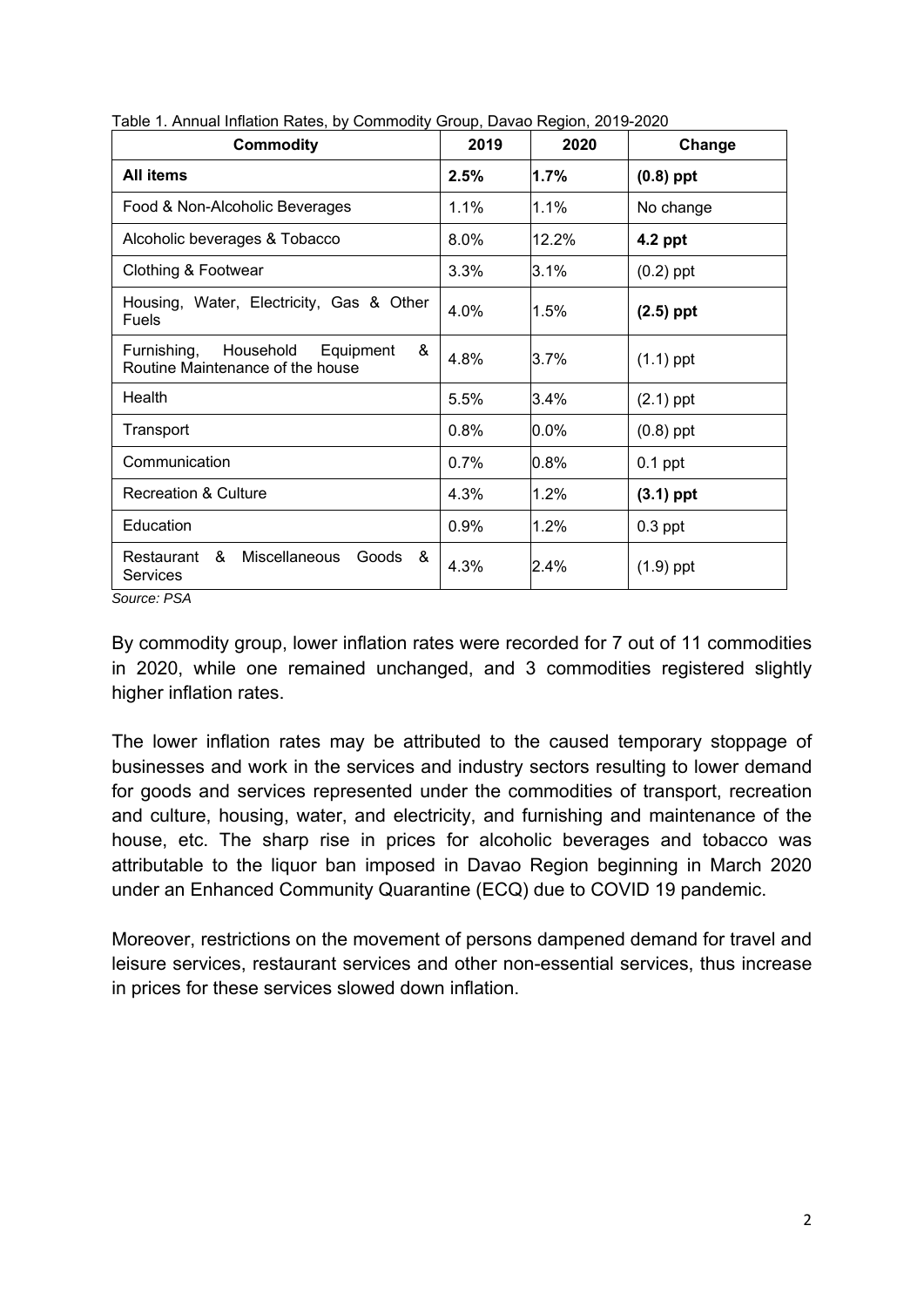| <b>Commodity</b>                                                               | 2019 | 2020  | Change      |
|--------------------------------------------------------------------------------|------|-------|-------------|
| All items                                                                      | 2.5% | 1.7%  | $(0.8)$ ppt |
| Food & Non-Alcoholic Beverages                                                 | 1.1% | 1.1%  | No change   |
| Alcoholic beverages & Tobacco                                                  | 8.0% | 12.2% | 4.2 ppt     |
| Clothing & Footwear                                                            | 3.3% | 3.1%  | $(0.2)$ ppt |
| Housing, Water, Electricity, Gas & Other<br><b>Fuels</b>                       | 4.0% | 1.5%  | $(2.5)$ ppt |
| Household<br>Equipment<br>Furnishing,<br>&<br>Routine Maintenance of the house | 4.8% | 3.7%  | $(1.1)$ ppt |
| Health                                                                         | 5.5% | 3.4%  | $(2.1)$ ppt |
| Transport                                                                      | 0.8% | 0.0%  | $(0.8)$ ppt |
| Communication                                                                  | 0.7% | 0.8%  | $0.1$ ppt   |
| <b>Recreation &amp; Culture</b>                                                | 4.3% | 1.2%  | $(3.1)$ ppt |
| Education                                                                      | 0.9% | 1.2%  | $0.3$ ppt   |
| Restaurant & Miscellaneous<br>Goods &<br>Services                              | 4.3% | 2.4%  | $(1.9)$ ppt |

Table 1. Annual Inflation Rates, by Commodity Group, Davao Region, 2019-2020

*Source: PSA* 

By commodity group, lower inflation rates were recorded for 7 out of 11 commodities in 2020, while one remained unchanged, and 3 commodities registered slightly higher inflation rates.

The lower inflation rates may be attributed to the caused temporary stoppage of businesses and work in the services and industry sectors resulting to lower demand for goods and services represented under the commodities of transport, recreation and culture, housing, water, and electricity, and furnishing and maintenance of the house, etc. The sharp rise in prices for alcoholic beverages and tobacco was attributable to the liquor ban imposed in Davao Region beginning in March 2020 under an Enhanced Community Quarantine (ECQ) due to COVID 19 pandemic.

Moreover, restrictions on the movement of persons dampened demand for travel and leisure services, restaurant services and other non-essential services, thus increase in prices for these services slowed down inflation.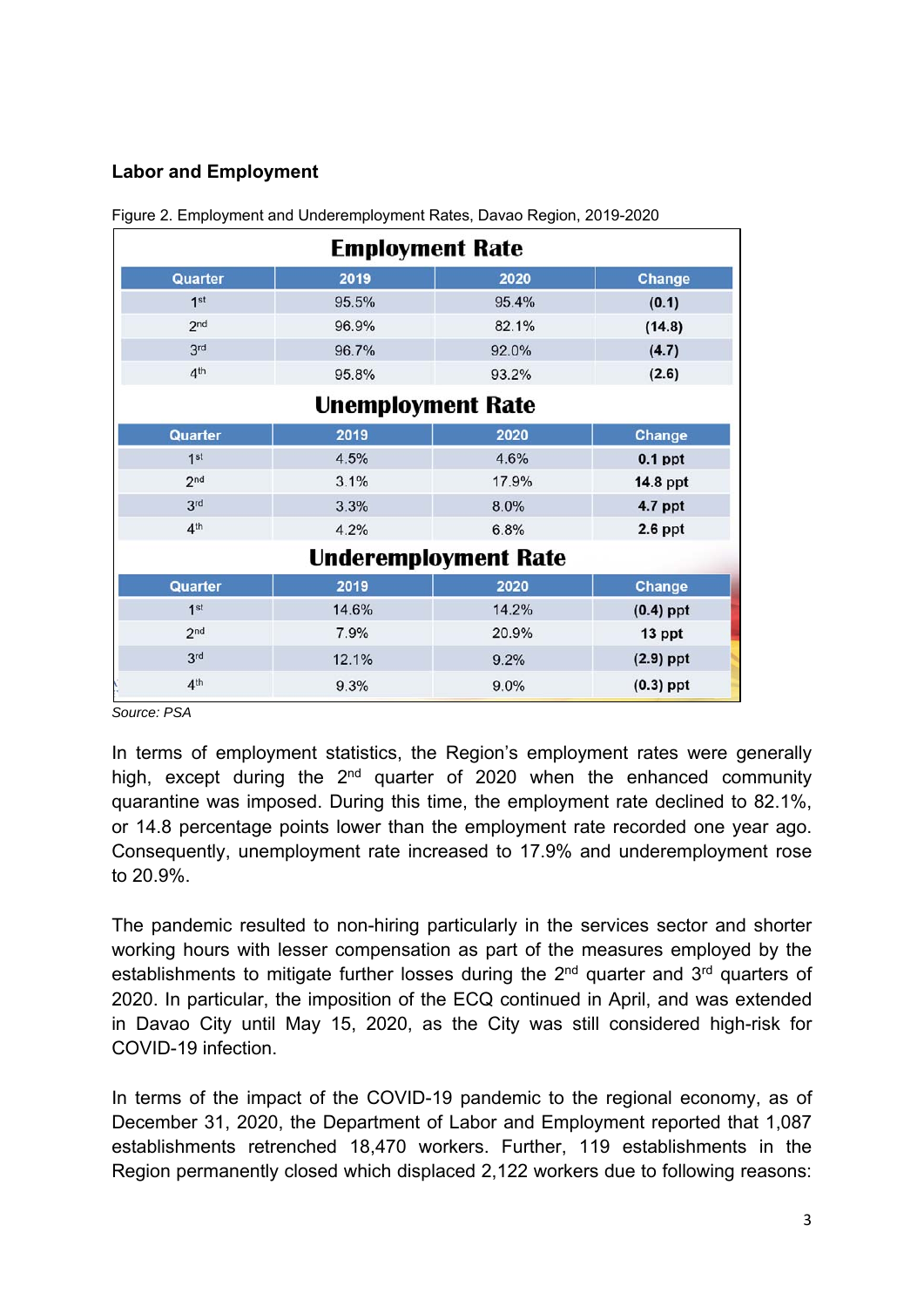# **Labor and Employment**

|                 | <b>Employment Rate</b>   |                             |               |
|-----------------|--------------------------|-----------------------------|---------------|
| Quarter         | 2019                     | 2020                        | <b>Change</b> |
| 1 <sup>st</sup> | 95.5%                    | 95.4%                       | (0.1)         |
| 2 <sub>nd</sub> | 96.9%                    | 82.1%                       | (14.8)        |
| 3 <sup>rd</sup> | 96.7%                    | 92.0%                       | (4.7)         |
| 4 <sup>th</sup> | 95.8%                    | 93.2%                       | (2.6)         |
|                 | <b>Unemployment Rate</b> |                             |               |
| Quarter         | 2019                     | 2020                        | <b>Change</b> |
| 1 <sup>st</sup> | 4.5%                     | 4.6%                        | $0.1$ ppt     |
| 2 <sub>nd</sub> | 3.1%                     | 17.9%                       | 14.8 ppt      |
| 3 <sup>rd</sup> | 3.3%                     | 8.0%                        | 4.7 ppt       |
| 4 <sup>th</sup> | 4.2%                     | 6.8%                        | $2.6$ ppt     |
|                 |                          | <b>Underemployment Rate</b> |               |
| Quarter         | 2019                     | 2020                        | <b>Change</b> |
| 1 <sup>st</sup> | 14.6%                    | 14.2%                       | $(0.4)$ ppt   |
| 2 <sub>nd</sub> | 7.9%                     | 20.9%                       | 13 ppt        |
| 3 <sup>rd</sup> | 12.1%                    | 9.2%                        | $(2.9)$ ppt   |
| 4 <sup>th</sup> | 9.3%                     | 9.0%                        | $(0.3)$ ppt   |

Figure 2. Employment and Underemployment Rates, Davao Region, 2019-2020

*Source: PSA* 

In terms of employment statistics, the Region's employment rates were generally high, except during the  $2<sup>nd</sup>$  quarter of 2020 when the enhanced community quarantine was imposed. During this time, the employment rate declined to 82.1%, or 14.8 percentage points lower than the employment rate recorded one year ago. Consequently, unemployment rate increased to 17.9% and underemployment rose to 20.9%.

The pandemic resulted to non-hiring particularly in the services sector and shorter working hours with lesser compensation as part of the measures employed by the establishments to mitigate further losses during the  $2<sup>nd</sup>$  quarter and  $3<sup>rd</sup>$  quarters of 2020. In particular, the imposition of the ECQ continued in April, and was extended in Davao City until May 15, 2020, as the City was still considered high-risk for COVID-19 infection.

In terms of the impact of the COVID-19 pandemic to the regional economy, as of December 31, 2020, the Department of Labor and Employment reported that 1,087 establishments retrenched 18,470 workers. Further, 119 establishments in the Region permanently closed which displaced 2,122 workers due to following reasons: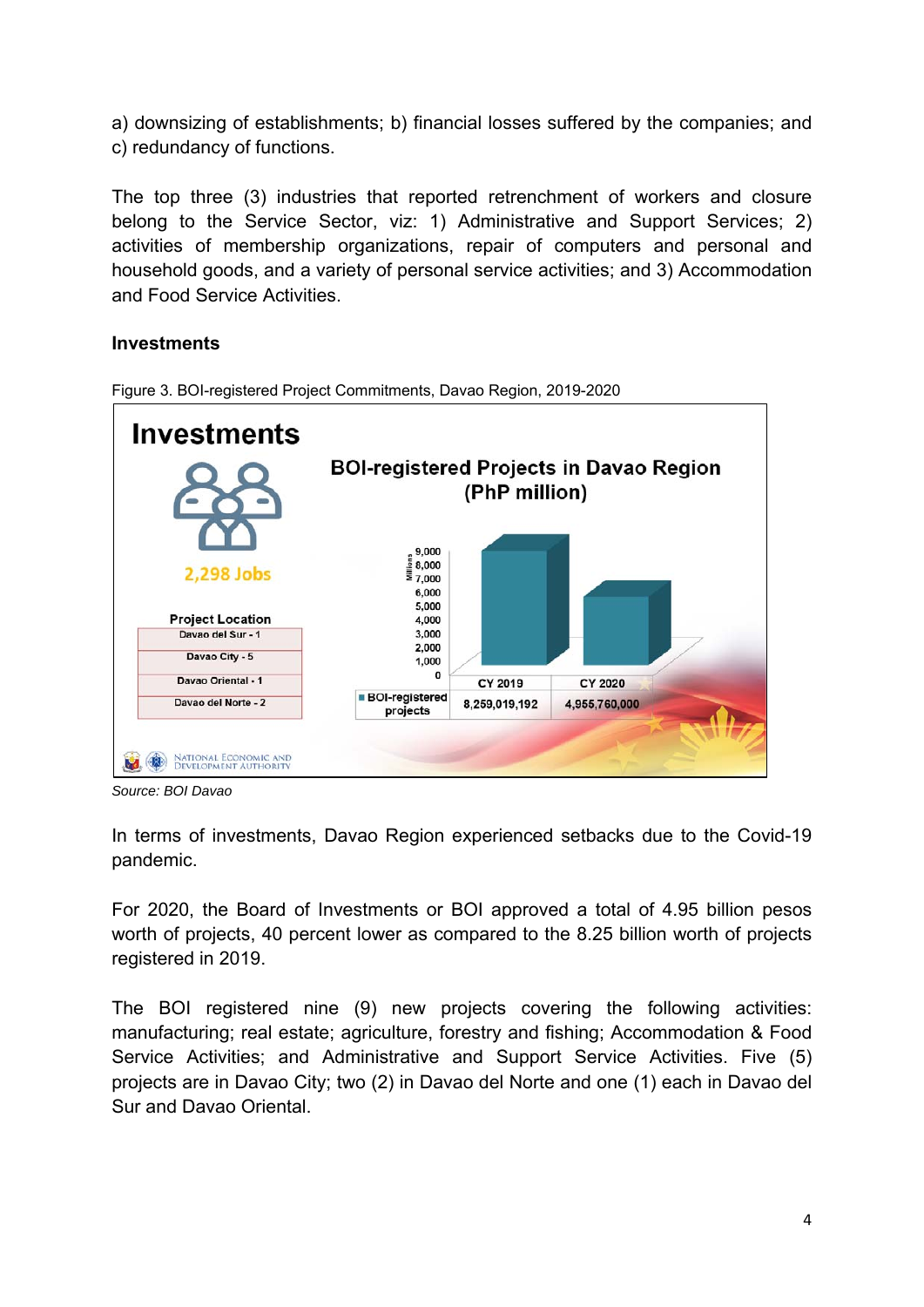a) downsizing of establishments; b) financial losses suffered by the companies; and c) redundancy of functions.

The top three (3) industries that reported retrenchment of workers and closure belong to the Service Sector, viz: 1) Administrative and Support Services; 2) activities of membership organizations, repair of computers and personal and household goods, and a variety of personal service activities; and 3) Accommodation and Food Service Activities.

# **Investments**



Figure 3. BOI-registered Project Commitments, Davao Region, 2019-2020

*Source: BOI Davao* 

In terms of investments, Davao Region experienced setbacks due to the Covid-19 pandemic.

For 2020, the Board of Investments or BOI approved a total of 4.95 billion pesos worth of projects, 40 percent lower as compared to the 8.25 billion worth of projects registered in 2019.

The BOI registered nine (9) new projects covering the following activities: manufacturing; real estate; agriculture, forestry and fishing; Accommodation & Food Service Activities; and Administrative and Support Service Activities. Five (5) projects are in Davao City; two (2) in Davao del Norte and one (1) each in Davao del Sur and Davao Oriental.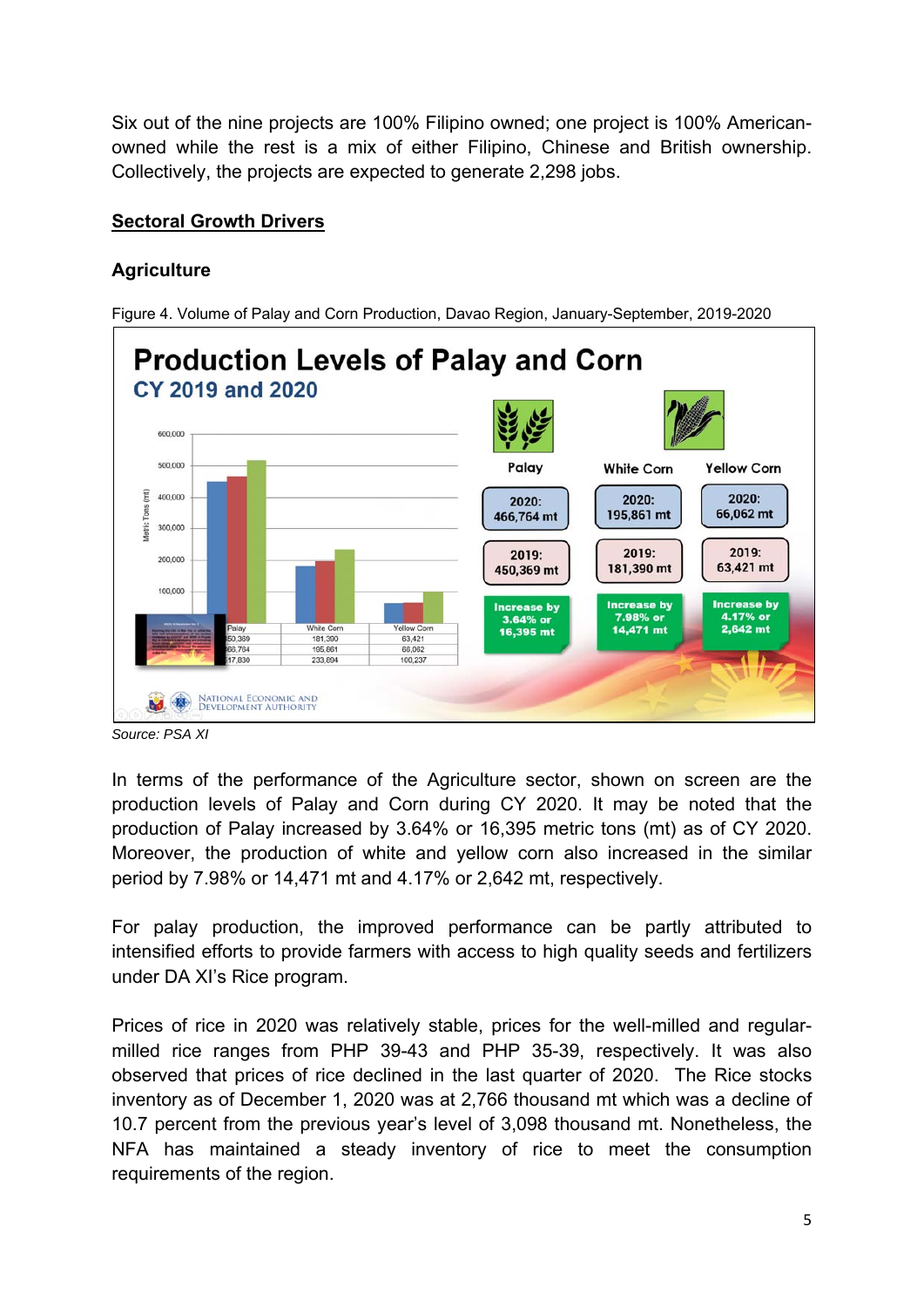Six out of the nine projects are 100% Filipino owned; one project is 100% Americanowned while the rest is a mix of either Filipino, Chinese and British ownership. Collectively, the projects are expected to generate 2,298 jobs.

# **Sectoral Growth Drivers**

# **Agriculture**

Figure 4. Volume of Palay and Corn Production, Davao Region, January-September, 2019-2020



*Source: PSA XI* 

In terms of the performance of the Agriculture sector, shown on screen are the production levels of Palay and Corn during CY 2020. It may be noted that the production of Palay increased by 3.64% or 16,395 metric tons (mt) as of CY 2020. Moreover, the production of white and yellow corn also increased in the similar period by 7.98% or 14,471 mt and 4.17% or 2,642 mt, respectively.

For palay production, the improved performance can be partly attributed to intensified efforts to provide farmers with access to high quality seeds and fertilizers under DA XI's Rice program.

Prices of rice in 2020 was relatively stable, prices for the well-milled and regularmilled rice ranges from PHP 39-43 and PHP 35-39, respectively. It was also observed that prices of rice declined in the last quarter of 2020. The Rice stocks inventory as of December 1, 2020 was at 2,766 thousand mt which was a decline of 10.7 percent from the previous year's level of 3,098 thousand mt. Nonetheless, the NFA has maintained a steady inventory of rice to meet the consumption requirements of the region.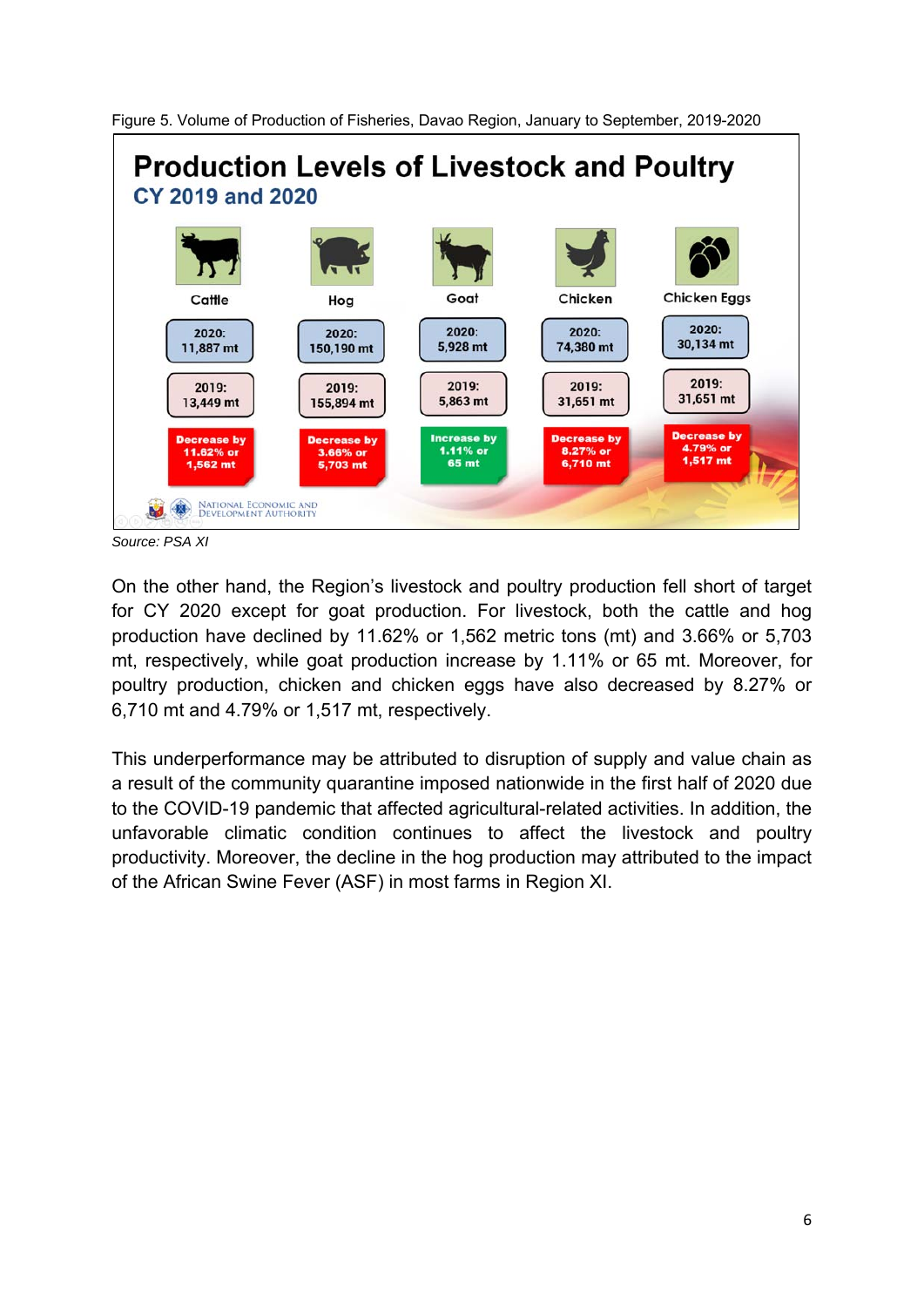



*Source: PSA XI* 

On the other hand, the Region's livestock and poultry production fell short of target for CY 2020 except for goat production. For livestock, both the cattle and hog production have declined by 11.62% or 1,562 metric tons (mt) and 3.66% or 5,703 mt, respectively, while goat production increase by 1.11% or 65 mt. Moreover, for poultry production, chicken and chicken eggs have also decreased by 8.27% or 6,710 mt and 4.79% or 1,517 mt, respectively.

This underperformance may be attributed to disruption of supply and value chain as a result of the community quarantine imposed nationwide in the first half of 2020 due to the COVID-19 pandemic that affected agricultural-related activities. In addition, the unfavorable climatic condition continues to affect the livestock and poultry productivity. Moreover, the decline in the hog production may attributed to the impact of the African Swine Fever (ASF) in most farms in Region XI.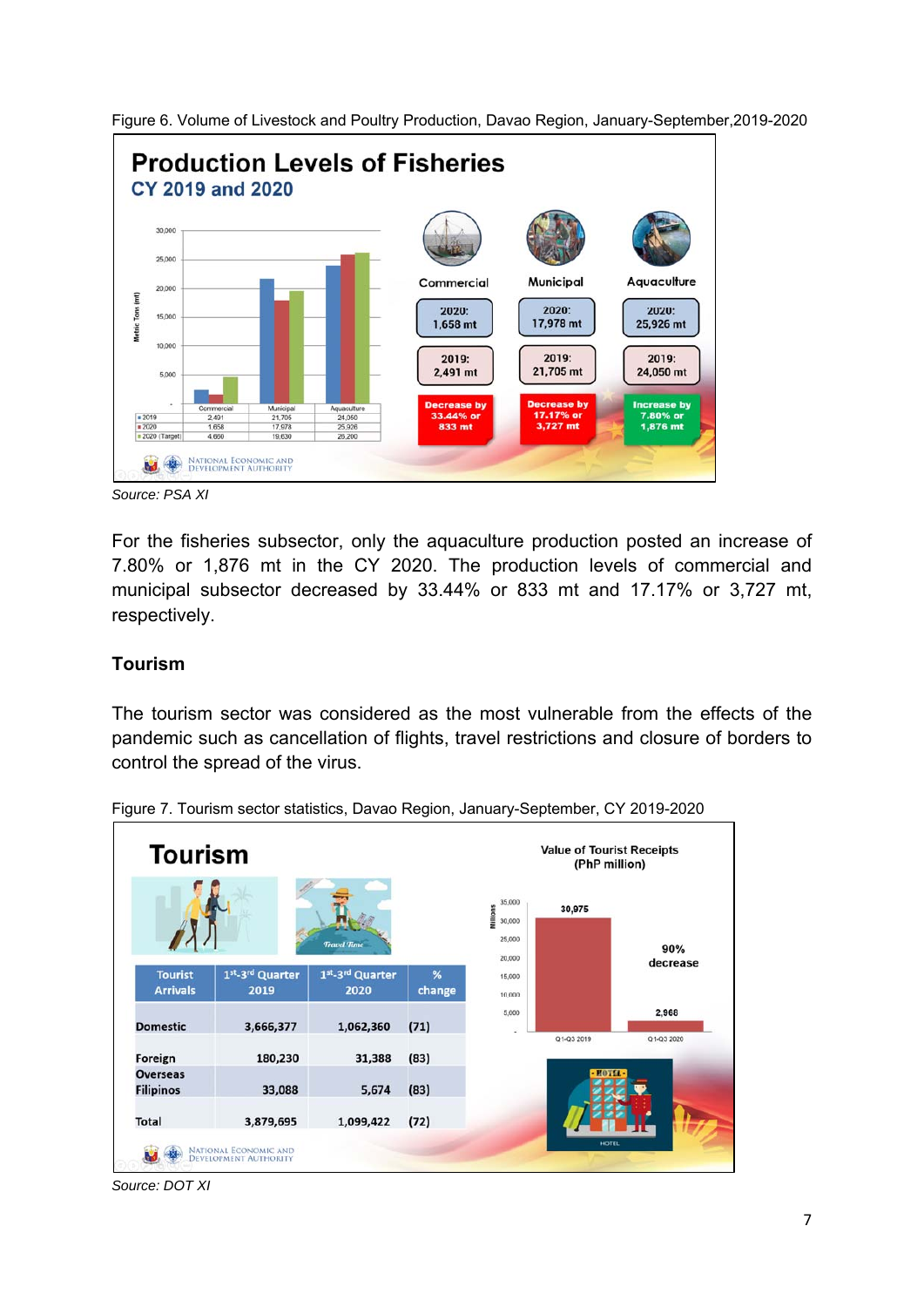

Figure 6. Volume of Livestock and Poultry Production, Davao Region, January-September,2019-2020

*Source: PSA XI* 

For the fisheries subsector, only the aquaculture production posted an increase of 7.80% or 1,876 mt in the CY 2020. The production levels of commercial and municipal subsector decreased by 33.44% or 833 mt and 17.17% or 3,727 mt, respectively.

#### **Tourism**

The tourism sector was considered as the most vulnerable from the effects of the pandemic such as cancellation of flights, travel restrictions and closure of borders to control the spread of the virus.



Figure 7. Tourism sector statistics, Davao Region, January-September, CY 2019-2020

*Source: DOT XI*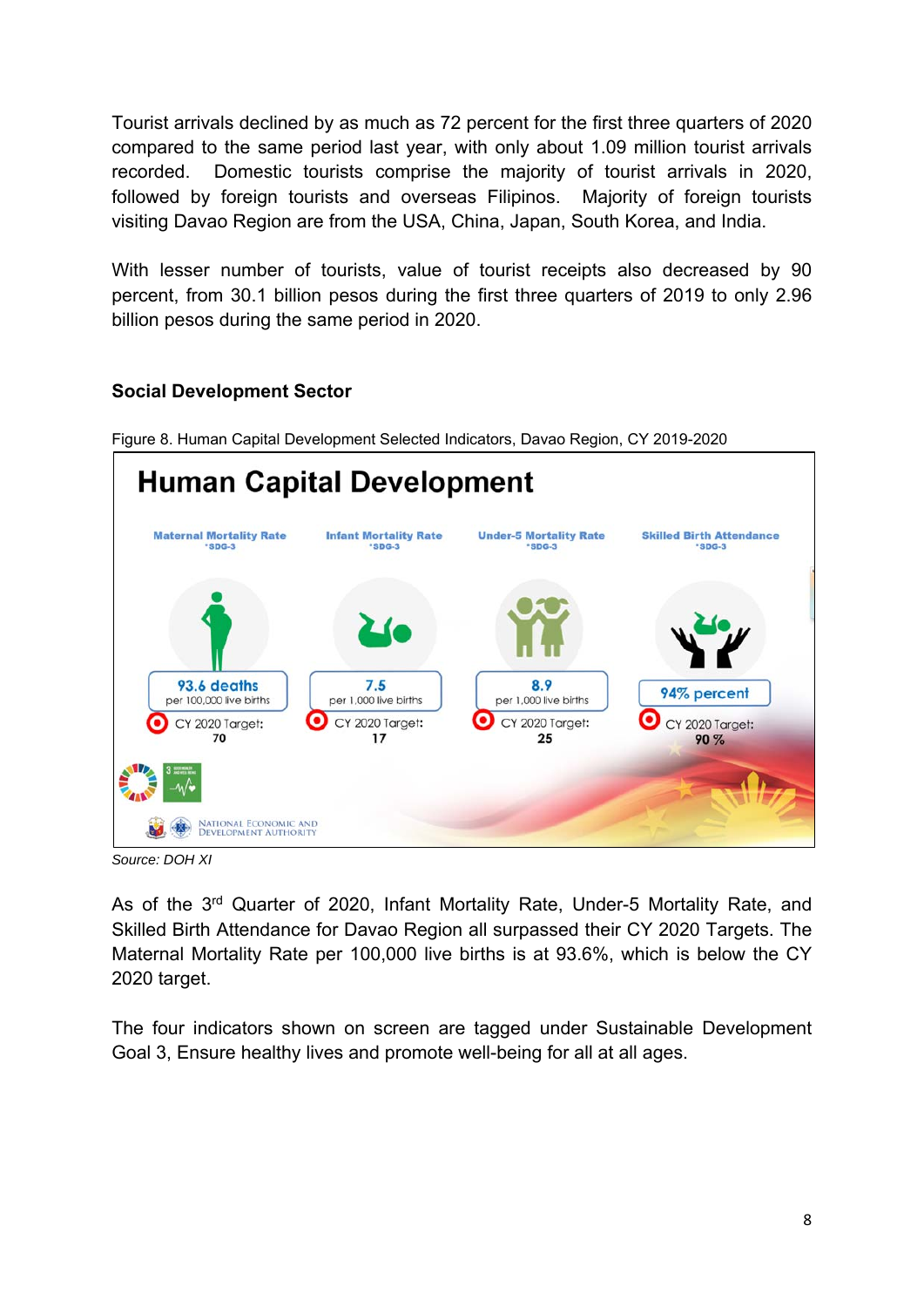Tourist arrivals declined by as much as 72 percent for the first three quarters of 2020 compared to the same period last year, with only about 1.09 million tourist arrivals recorded. Domestic tourists comprise the majority of tourist arrivals in 2020, followed by foreign tourists and overseas Filipinos. Majority of foreign tourists visiting Davao Region are from the USA, China, Japan, South Korea, and India.

With lesser number of tourists, value of tourist receipts also decreased by 90 percent, from 30.1 billion pesos during the first three quarters of 2019 to only 2.96 billion pesos during the same period in 2020.

# **Social Development Sector**



Figure 8. Human Capital Development Selected Indicators, Davao Region, CY 2019-2020

*Source: DOH XI* 

As of the 3<sup>rd</sup> Quarter of 2020, Infant Mortality Rate, Under-5 Mortality Rate, and Skilled Birth Attendance for Davao Region all surpassed their CY 2020 Targets. The Maternal Mortality Rate per 100,000 live births is at 93.6%, which is below the CY 2020 target.

The four indicators shown on screen are tagged under Sustainable Development Goal 3, Ensure healthy lives and promote well-being for all at all ages.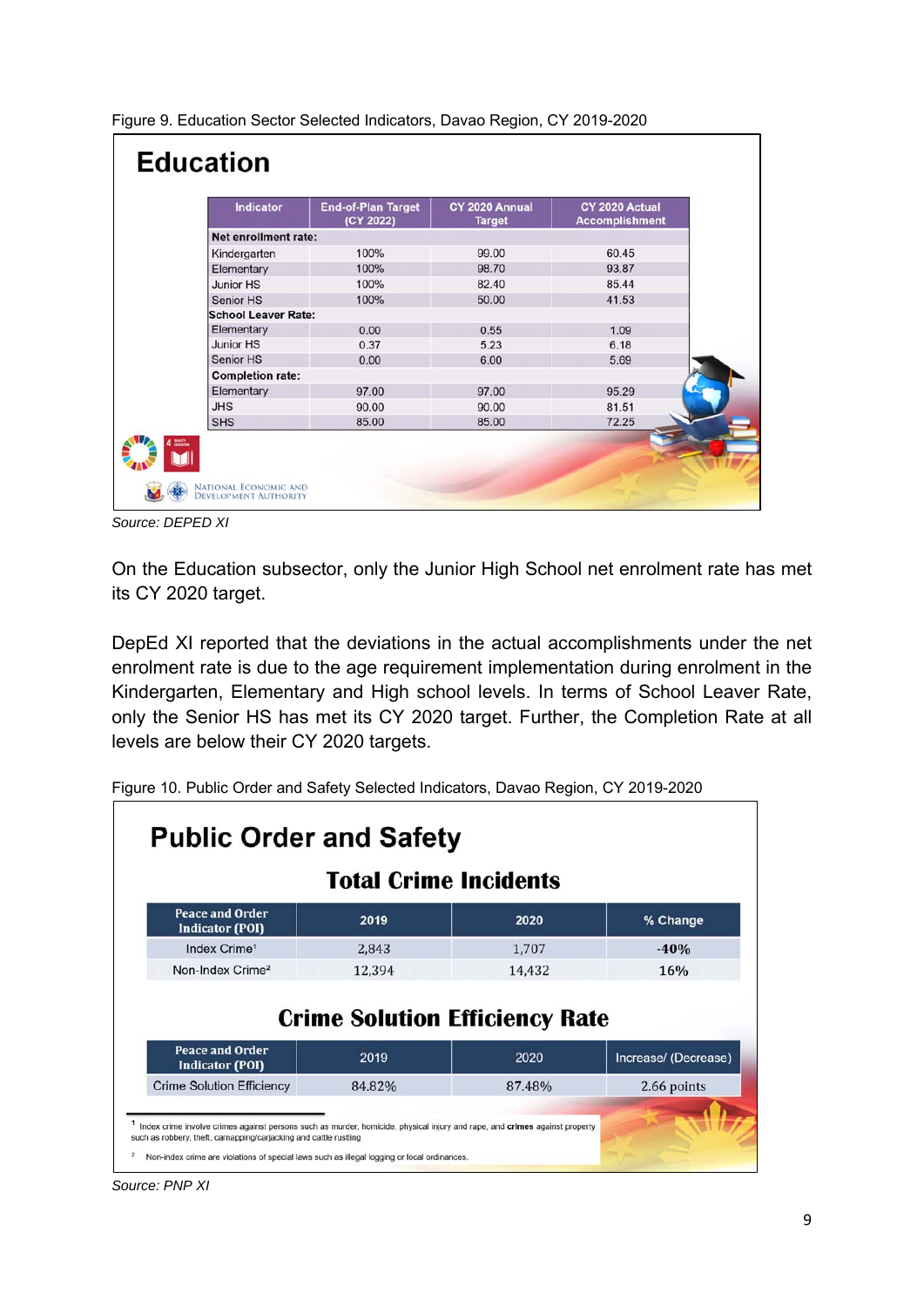| Figure 9. Education Sector Selected Indicators, Davao Region, CY 2019-2020 |  |
|----------------------------------------------------------------------------|--|
|----------------------------------------------------------------------------|--|

| <b>Indicator</b>           | <b>End-of-Plan Target</b><br>(CY 2022) | CY 2020 Annual<br><b>Target</b> | CY 2020 Actual<br><b>Accomplishment</b> |
|----------------------------|----------------------------------------|---------------------------------|-----------------------------------------|
| Net enrollment rate:       |                                        |                                 |                                         |
| Kindergarten               | 100%                                   | 99.00                           | 60.45                                   |
| Elementary                 | 100%                                   | 98.70                           | 93.87                                   |
| Junior HS                  | 100%                                   | 82.40                           | 85.44                                   |
| Senior HS                  | 100%                                   | 50.00                           | 41.53                                   |
| <b>School Leaver Rate:</b> |                                        |                                 |                                         |
| Elementary                 | 0.00                                   | 0.55                            | 1.09                                    |
| Junior HS                  | 0.37                                   | 5.23                            | 6.18                                    |
| Senior HS                  | 0.00                                   | 6.00                            | 5.69                                    |
| <b>Completion rate:</b>    |                                        |                                 |                                         |
| Elementary                 | 97.00                                  | 97.00                           | 95.29                                   |
| <b>JHS</b>                 | 90.00                                  | 90.00                           | 81.51                                   |
| <b>SHS</b>                 | 85.00                                  | 85.00                           | 72.25                                   |

*Source: DEPED XI* 

On the Education subsector, only the Junior High School net enrolment rate has met its CY 2020 target.

DepEd XI reported that the deviations in the actual accomplishments under the net enrolment rate is due to the age requirement implementation during enrolment in the Kindergarten, Elementary and High school levels. In terms of School Leaver Rate, only the Senior HS has met its CY 2020 target. Further, the Completion Rate at all levels are below their CY 2020 targets.

| <b>Total Crime Incidents</b>                     |        |                                               |                      |  |
|--------------------------------------------------|--------|-----------------------------------------------|----------------------|--|
| <b>Peace and Order</b><br><b>Indicator (POI)</b> | 2019   | 2020                                          | % Change             |  |
| Index Crime <sup>1</sup>                         | 2,843  | 1,707                                         | $-40%$               |  |
|                                                  |        |                                               |                      |  |
| Non-Index Crime <sup>2</sup>                     | 12,394 | 14,432                                        | 16%                  |  |
| <b>Peace and Order</b><br><b>Indicator (POI)</b> | 2019   | <b>Crime Solution Efficiency Rate</b><br>2020 | Increase/ (Decrease) |  |

Figure 10. Public Order and Safety Selected Indicators, Davao Region, CY 2019-2020

*Source: PNP XI*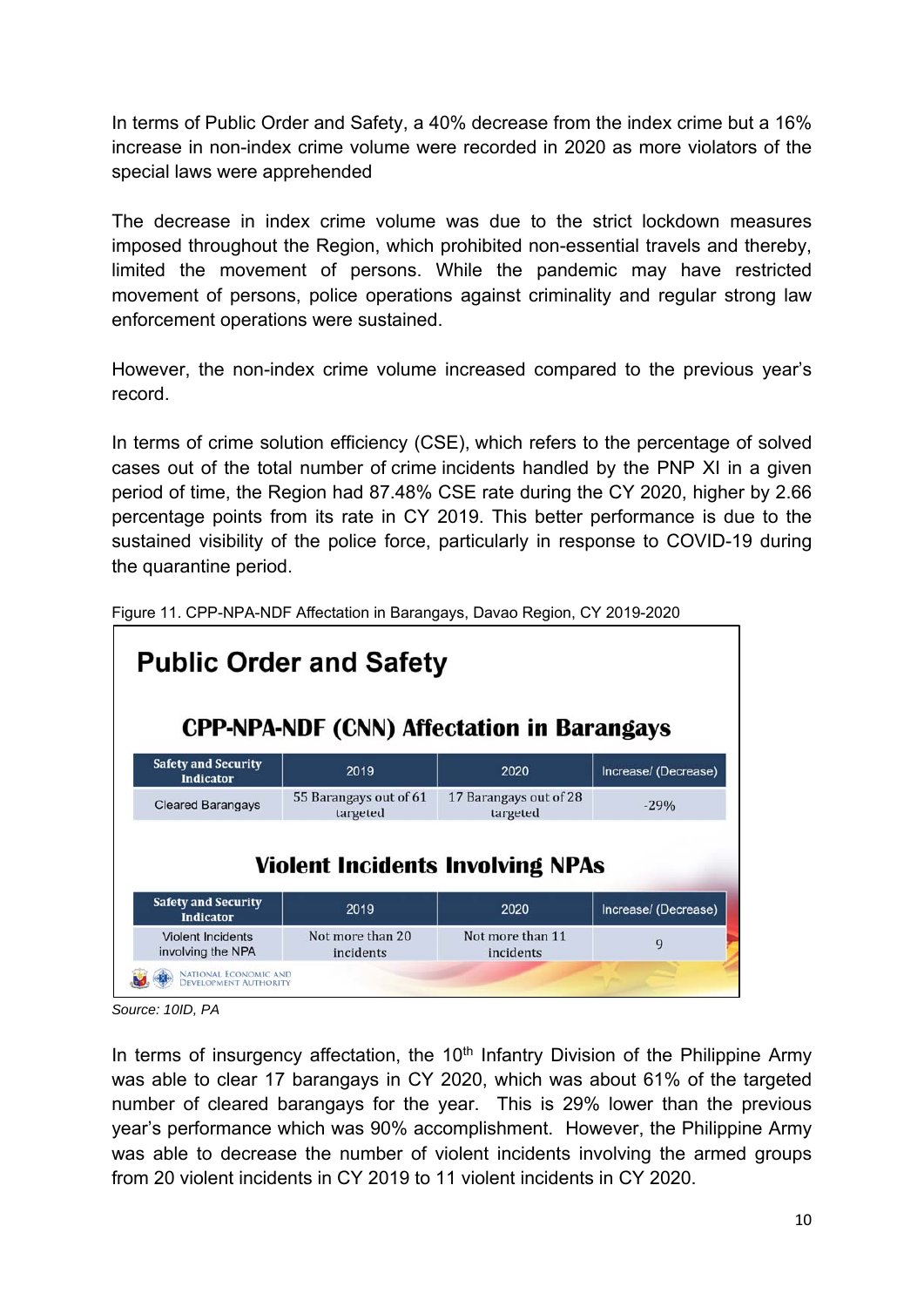In terms of Public Order and Safety, a 40% decrease from the index crime but a 16% increase in non-index crime volume were recorded in 2020 as more violators of the special laws were apprehended

The decrease in index crime volume was due to the strict lockdown measures imposed throughout the Region, which prohibited non-essential travels and thereby, limited the movement of persons. While the pandemic may have restricted movement of persons, police operations against criminality and regular strong law enforcement operations were sustained.

However, the non-index crime volume increased compared to the previous year's record.

In terms of crime solution efficiency (CSE), which refers to the percentage of solved cases out of the total number of crime incidents handled by the PNP XI in a given period of time, the Region had 87.48% CSE rate during the CY 2020, higher by 2.66 percentage points from its rate in CY 2019. This better performance is due to the sustained visibility of the police force, particularly in response to COVID-19 during the quarantine period.

| 2019                               | 2020                               | Increase/ (Decrease)                                                                                                           |
|------------------------------------|------------------------------------|--------------------------------------------------------------------------------------------------------------------------------|
| 55 Barangays out of 61<br>targeted | 17 Barangays out of 28<br>targeted | $-29%$                                                                                                                         |
|                                    |                                    |                                                                                                                                |
| 2019                               | 2020                               | Increase/ (Decrease)                                                                                                           |
|                                    |                                    | <b>Public Order and Safety</b><br><b>CPP-NPA-NDF (CNN) Affectation in Barangays</b><br><b>Violent Incidents Involving NPAs</b> |

Figure 11. CPP-NPA-NDF Affectation in Barangays, Davao Region, CY 2019-2020

In terms of insurgency affectation, the  $10<sup>th</sup>$  Infantry Division of the Philippine Army was able to clear 17 barangays in CY 2020, which was about 61% of the targeted number of cleared barangays for the year. This is 29% lower than the previous year's performance which was 90% accomplishment. However, the Philippine Army was able to decrease the number of violent incidents involving the armed groups from 20 violent incidents in CY 2019 to 11 violent incidents in CY 2020.

*Source: 10ID, PA*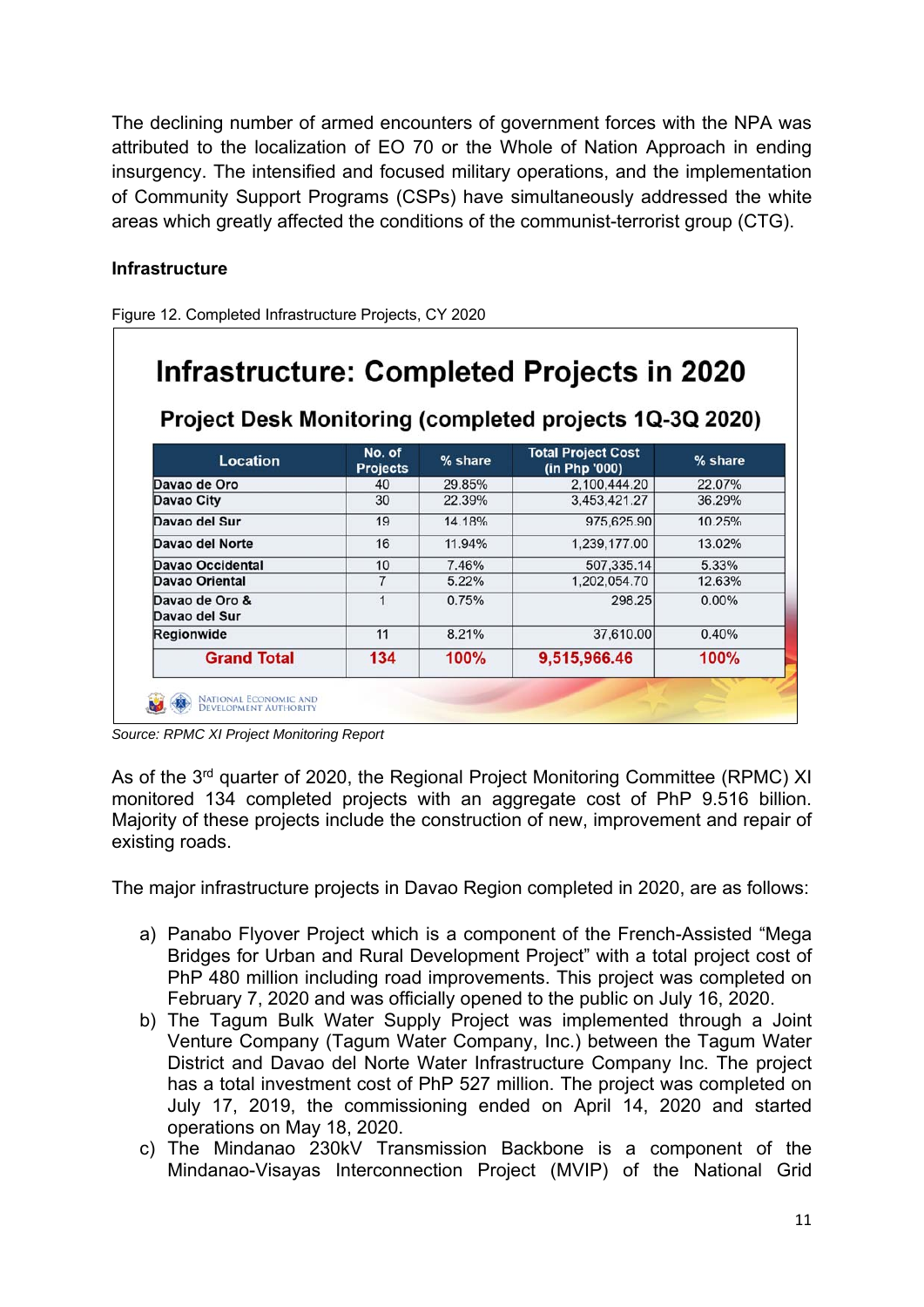The declining number of armed encounters of government forces with the NPA was attributed to the localization of EO 70 or the Whole of Nation Approach in ending insurgency. The intensified and focused military operations, and the implementation of Community Support Programs (CSPs) have simultaneously addressed the white areas which greatly affected the conditions of the communist-terrorist group (CTG).

# **Infrastructure**

Figure 12. Completed Infrastructure Projects, CY 2020

| Project Desk Monitoring (completed projects 1Q-3Q 2020) |                           |         |                                            |         |  |
|---------------------------------------------------------|---------------------------|---------|--------------------------------------------|---------|--|
| Location                                                | No. of<br><b>Projects</b> | % share | <b>Total Project Cost</b><br>(in Php '000) | % share |  |
| Davao de Oro                                            | 40                        | 29.85%  | 2,100,444.20                               | 22.07%  |  |
| Davao City                                              | 30                        | 22.39%  | 3,453,421.27                               | 36.29%  |  |
| Davao del Sur                                           | 19                        | 14.18%  | 975,625.90                                 | 10.25%  |  |
| Davao del Norte                                         | 16                        | 11.94%  | 1,239,177.00                               | 13.02%  |  |
| Davao Occidental                                        | 10                        | 7.46%   | 507.335.14                                 | 5.33%   |  |
| Davao Oriental                                          | $\overline{7}$            | 5.22%   | 1.202.054.70                               | 12.63%  |  |
| Davao de Oro &<br>Davao del Sur                         | 1                         | 0.75%   | 298.25                                     | 0.00%   |  |
| Regionwide                                              | 11                        | 8.21%   | 37,610.00                                  | 0.40%   |  |
| <b>Grand Total</b>                                      | 134                       | 100%    | 9,515,966.46                               | 100%    |  |

*Source: RPMC XI Project Monitoring Report* 

As of the 3<sup>rd</sup> quarter of 2020, the Regional Project Monitoring Committee (RPMC) XI monitored 134 completed projects with an aggregate cost of PhP 9.516 billion. Majority of these projects include the construction of new, improvement and repair of existing roads.

The major infrastructure projects in Davao Region completed in 2020, are as follows:

- a) Panabo Flyover Project which is a component of the French-Assisted "Mega Bridges for Urban and Rural Development Project" with a total project cost of PhP 480 million including road improvements. This project was completed on February 7, 2020 and was officially opened to the public on July 16, 2020.
- b) The Tagum Bulk Water Supply Project was implemented through a Joint Venture Company (Tagum Water Company, Inc.) between the Tagum Water District and Davao del Norte Water Infrastructure Company Inc. The project has a total investment cost of PhP 527 million. The project was completed on July 17, 2019, the commissioning ended on April 14, 2020 and started operations on May 18, 2020.
- c) The Mindanao 230kV Transmission Backbone is a component of the Mindanao-Visayas Interconnection Project (MVIP) of the National Grid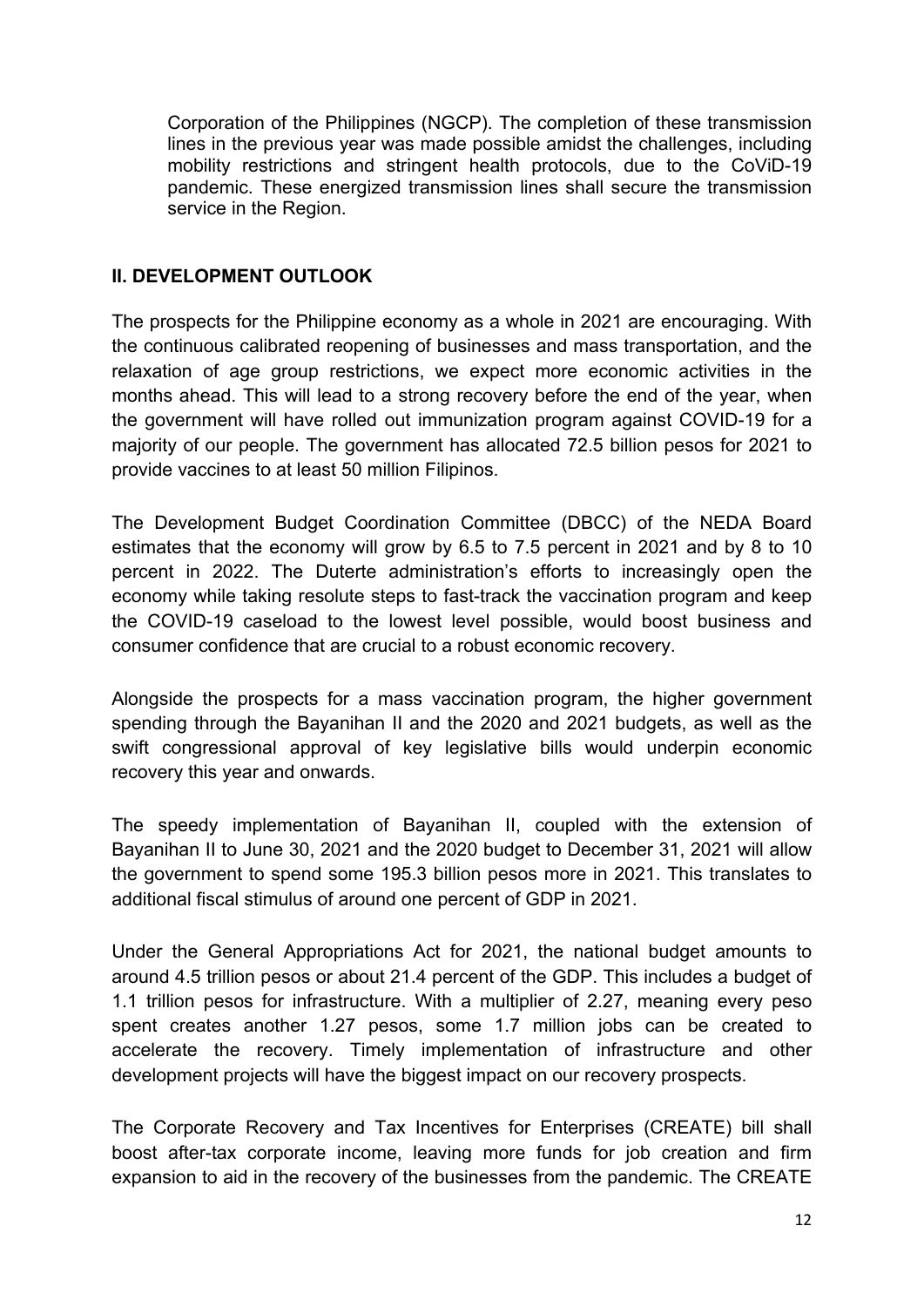Corporation of the Philippines (NGCP). The completion of these transmission lines in the previous year was made possible amidst the challenges, including mobility restrictions and stringent health protocols, due to the CoViD-19 pandemic. These energized transmission lines shall secure the transmission service in the Region.

### **II. DEVELOPMENT OUTLOOK**

The prospects for the Philippine economy as a whole in 2021 are encouraging. With the continuous calibrated reopening of businesses and mass transportation, and the relaxation of age group restrictions, we expect more economic activities in the months ahead. This will lead to a strong recovery before the end of the year, when the government will have rolled out immunization program against COVID-19 for a majority of our people. The government has allocated 72.5 billion pesos for 2021 to provide vaccines to at least 50 million Filipinos.

The Development Budget Coordination Committee (DBCC) of the NEDA Board estimates that the economy will grow by 6.5 to 7.5 percent in 2021 and by 8 to 10 percent in 2022. The Duterte administration's efforts to increasingly open the economy while taking resolute steps to fast-track the vaccination program and keep the COVID-19 caseload to the lowest level possible, would boost business and consumer confidence that are crucial to a robust economic recovery.

Alongside the prospects for a mass vaccination program, the higher government spending through the Bayanihan II and the 2020 and 2021 budgets, as well as the swift congressional approval of key legislative bills would underpin economic recovery this year and onwards.

The speedy implementation of Bayanihan II, coupled with the extension of Bayanihan II to June 30, 2021 and the 2020 budget to December 31, 2021 will allow the government to spend some 195.3 billion pesos more in 2021. This translates to additional fiscal stimulus of around one percent of GDP in 2021.

Under the General Appropriations Act for 2021, the national budget amounts to around 4.5 trillion pesos or about 21.4 percent of the GDP. This includes a budget of 1.1 trillion pesos for infrastructure. With a multiplier of 2.27, meaning every peso spent creates another 1.27 pesos, some 1.7 million jobs can be created to accelerate the recovery. Timely implementation of infrastructure and other development projects will have the biggest impact on our recovery prospects.

The Corporate Recovery and Tax Incentives for Enterprises (CREATE) bill shall boost after-tax corporate income, leaving more funds for job creation and firm expansion to aid in the recovery of the businesses from the pandemic. The CREATE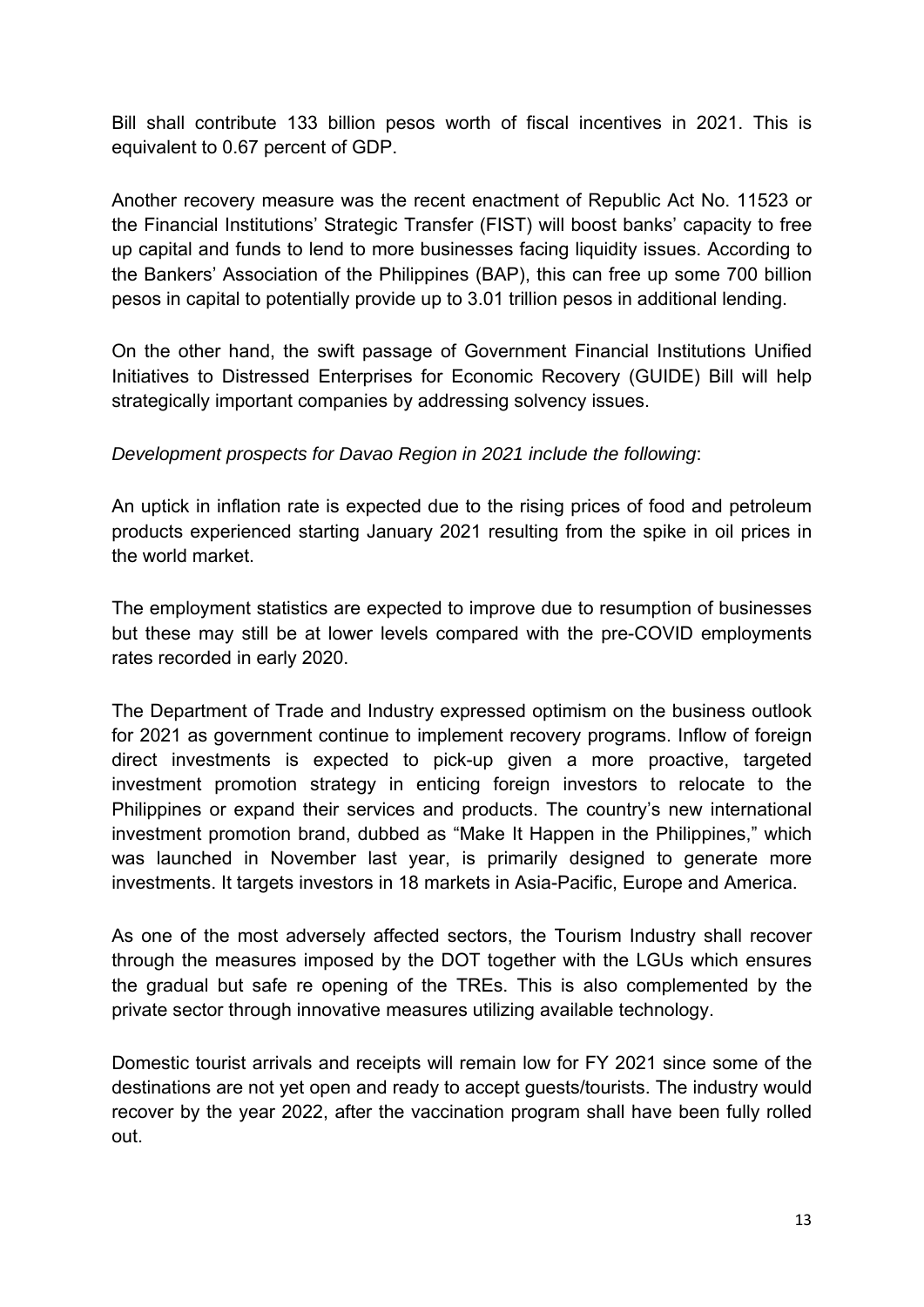Bill shall contribute 133 billion pesos worth of fiscal incentives in 2021. This is equivalent to 0.67 percent of GDP.

Another recovery measure was the recent enactment of Republic Act No. 11523 or the Financial Institutions' Strategic Transfer (FIST) will boost banks' capacity to free up capital and funds to lend to more businesses facing liquidity issues. According to the Bankers' Association of the Philippines (BAP), this can free up some 700 billion pesos in capital to potentially provide up to 3.01 trillion pesos in additional lending.

On the other hand, the swift passage of Government Financial Institutions Unified Initiatives to Distressed Enterprises for Economic Recovery (GUIDE) Bill will help strategically important companies by addressing solvency issues.

# *Development prospects for Davao Region in 2021 include the following*:

An uptick in inflation rate is expected due to the rising prices of food and petroleum products experienced starting January 2021 resulting from the spike in oil prices in the world market.

The employment statistics are expected to improve due to resumption of businesses but these may still be at lower levels compared with the pre-COVID employments rates recorded in early 2020.

The Department of Trade and Industry expressed optimism on the business outlook for 2021 as government continue to implement recovery programs. Inflow of foreign direct investments is expected to pick-up given a more proactive, targeted investment promotion strategy in enticing foreign investors to relocate to the Philippines or expand their services and products. The country's new international investment promotion brand, dubbed as "Make It Happen in the Philippines," which was launched in November last year, is primarily designed to generate more investments. It targets investors in 18 markets in Asia-Pacific, Europe and America.

As one of the most adversely affected sectors, the Tourism Industry shall recover through the measures imposed by the DOT together with the LGUs which ensures the gradual but safe re opening of the TREs. This is also complemented by the private sector through innovative measures utilizing available technology.

Domestic tourist arrivals and receipts will remain low for FY 2021 since some of the destinations are not yet open and ready to accept guests/tourists. The industry would recover by the year 2022, after the vaccination program shall have been fully rolled out.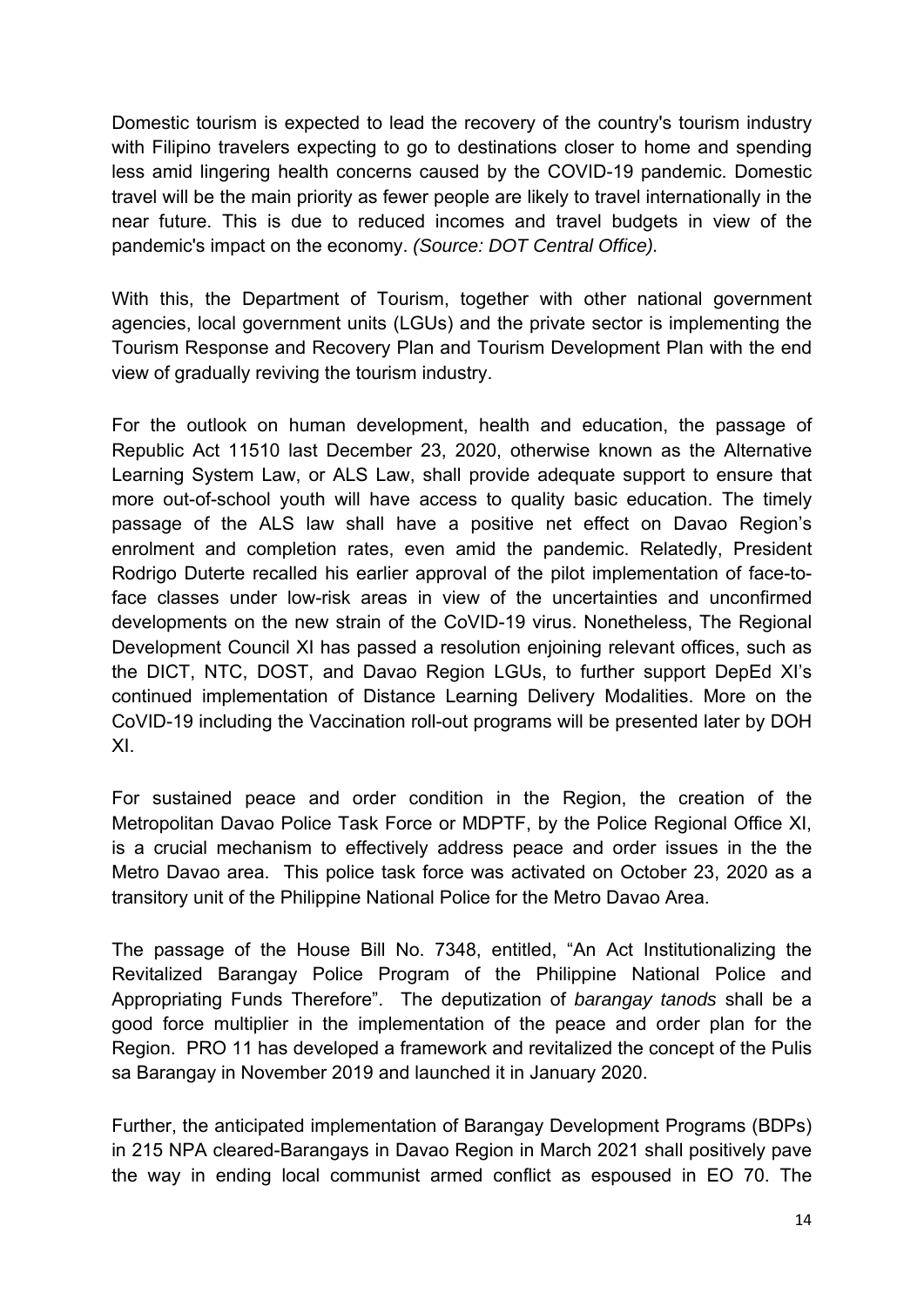Domestic tourism is expected to lead the recovery of the country's tourism industry with Filipino travelers expecting to go to destinations closer to home and spending less amid lingering health concerns caused by the COVID-19 pandemic. Domestic travel will be the main priority as fewer people are likely to travel internationally in the near future. This is due to reduced incomes and travel budgets in view of the pandemic's impact on the economy. *(Source: DOT Central Office).* 

With this, the Department of Tourism, together with other national government agencies, local government units (LGUs) and the private sector is implementing the Tourism Response and Recovery Plan and Tourism Development Plan with the end view of gradually reviving the tourism industry.

For the outlook on human development, health and education, the passage of Republic Act 11510 last December 23, 2020, otherwise known as the Alternative Learning System Law, or ALS Law, shall provide adequate support to ensure that more out-of-school youth will have access to quality basic education. The timely passage of the ALS law shall have a positive net effect on Davao Region's enrolment and completion rates, even amid the pandemic. Relatedly, President Rodrigo Duterte recalled his earlier approval of the pilot implementation of face-toface classes under low-risk areas in view of the uncertainties and unconfirmed developments on the new strain of the CoVID-19 virus. Nonetheless, The Regional Development Council XI has passed a resolution enjoining relevant offices, such as the DICT, NTC, DOST, and Davao Region LGUs, to further support DepEd XI's continued implementation of Distance Learning Delivery Modalities. More on the CoVID-19 including the Vaccination roll-out programs will be presented later by DOH XI.

For sustained peace and order condition in the Region, the creation of the Metropolitan Davao Police Task Force or MDPTF, by the Police Regional Office XI, is a crucial mechanism to effectively address peace and order issues in the the Metro Davao area. This police task force was activated on October 23, 2020 as a transitory unit of the Philippine National Police for the Metro Davao Area.

The passage of the House Bill No. 7348, entitled, "An Act Institutionalizing the Revitalized Barangay Police Program of the Philippine National Police and Appropriating Funds Therefore". The deputization of *barangay tanods* shall be a good force multiplier in the implementation of the peace and order plan for the Region. PRO 11 has developed a framework and revitalized the concept of the Pulis sa Barangay in November 2019 and launched it in January 2020.

Further, the anticipated implementation of Barangay Development Programs (BDPs) in 215 NPA cleared-Barangays in Davao Region in March 2021 shall positively pave the way in ending local communist armed conflict as espoused in EO 70. The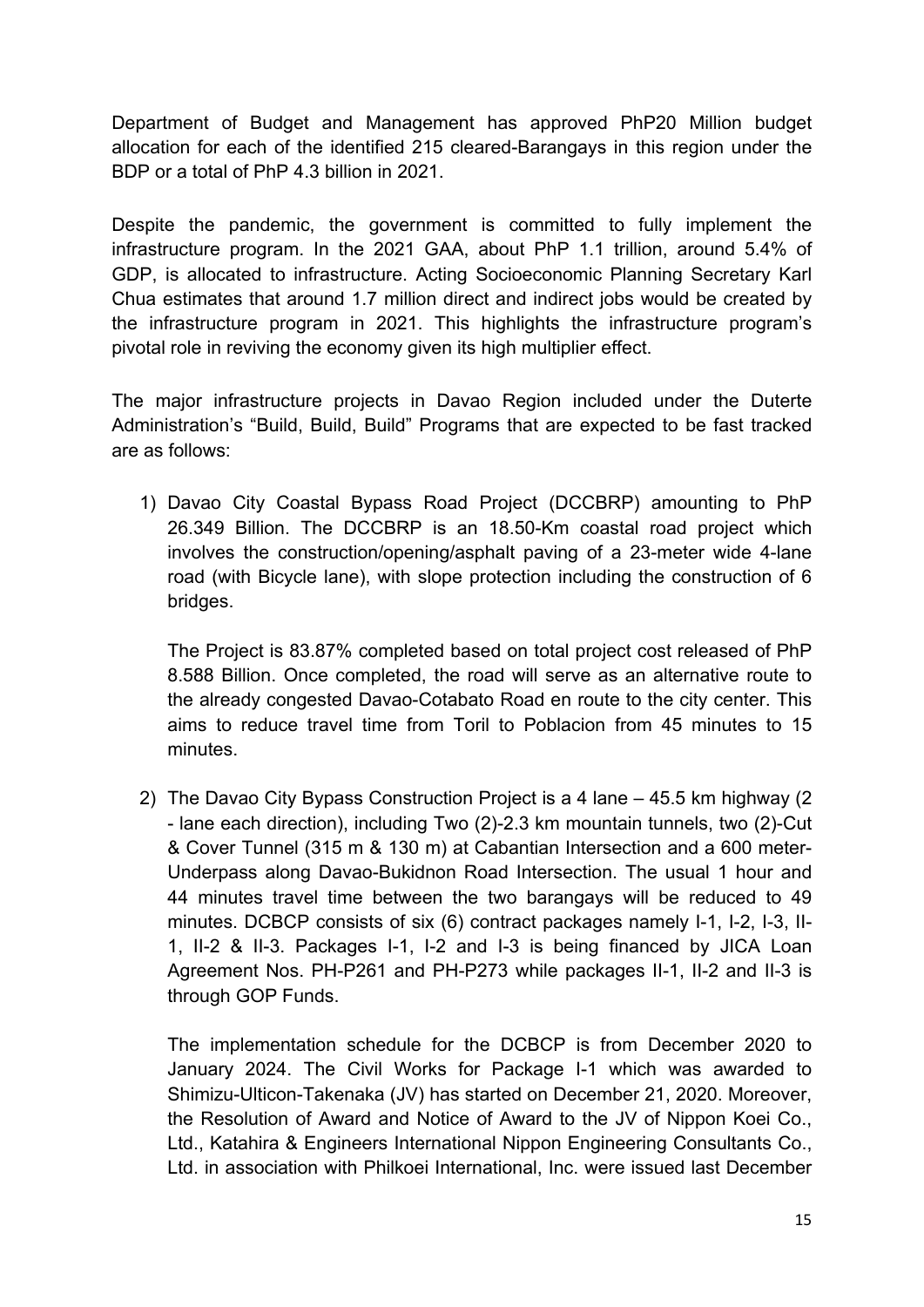Department of Budget and Management has approved PhP20 Million budget allocation for each of the identified 215 cleared-Barangays in this region under the BDP or a total of PhP 4.3 billion in 2021.

Despite the pandemic, the government is committed to fully implement the infrastructure program. In the 2021 GAA, about PhP 1.1 trillion, around 5.4% of GDP, is allocated to infrastructure. Acting Socioeconomic Planning Secretary Karl Chua estimates that around 1.7 million direct and indirect jobs would be created by the infrastructure program in 2021. This highlights the infrastructure program's pivotal role in reviving the economy given its high multiplier effect.

The major infrastructure projects in Davao Region included under the Duterte Administration's "Build, Build, Build" Programs that are expected to be fast tracked are as follows:

1) Davao City Coastal Bypass Road Project (DCCBRP) amounting to PhP 26.349 Billion. The DCCBRP is an 18.50-Km coastal road project which involves the construction/opening/asphalt paving of a 23-meter wide 4-lane road (with Bicycle lane), with slope protection including the construction of 6 bridges.

The Project is 83.87% completed based on total project cost released of PhP 8.588 Billion. Once completed, the road will serve as an alternative route to the already congested Davao-Cotabato Road en route to the city center. This aims to reduce travel time from Toril to Poblacion from 45 minutes to 15 minutes.

2) The Davao City Bypass Construction Project is a 4 lane – 45.5 km highway (2 - lane each direction), including Two (2)-2.3 km mountain tunnels, two (2)-Cut & Cover Tunnel (315 m & 130 m) at Cabantian Intersection and a 600 meter-Underpass along Davao-Bukidnon Road Intersection. The usual 1 hour and 44 minutes travel time between the two barangays will be reduced to 49 minutes. DCBCP consists of six (6) contract packages namely I-1, I-2, I-3, II-1, II-2 & II-3. Packages I-1, I-2 and I-3 is being financed by JICA Loan Agreement Nos. PH-P261 and PH-P273 while packages II-1, II-2 and II-3 is through GOP Funds.

The implementation schedule for the DCBCP is from December 2020 to January 2024. The Civil Works for Package I-1 which was awarded to Shimizu-Ulticon-Takenaka (JV) has started on December 21, 2020. Moreover, the Resolution of Award and Notice of Award to the JV of Nippon Koei Co., Ltd., Katahira & Engineers International Nippon Engineering Consultants Co., Ltd. in association with Philkoei International, Inc. were issued last December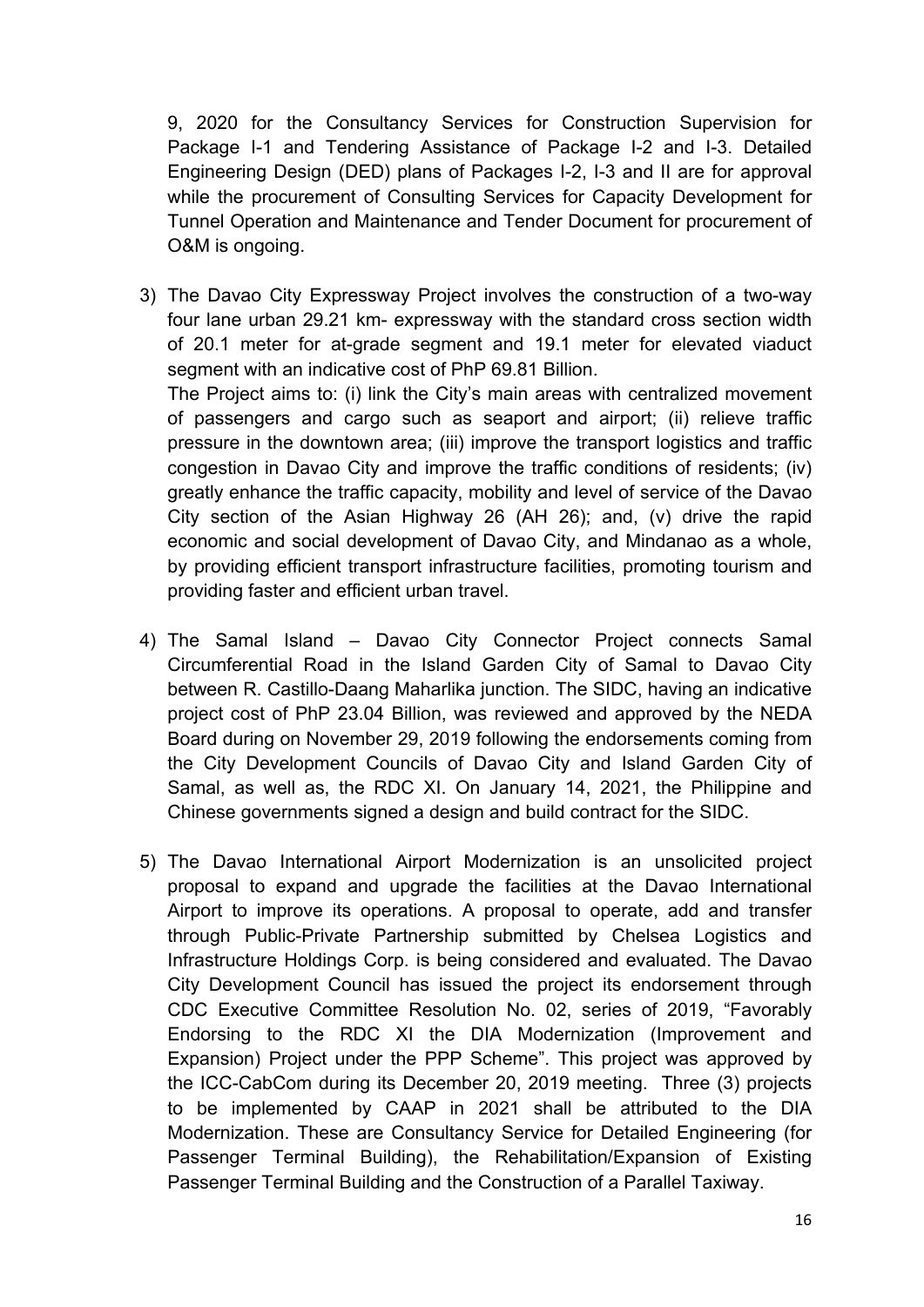9, 2020 for the Consultancy Services for Construction Supervision for Package I-1 and Tendering Assistance of Package I-2 and I-3. Detailed Engineering Design (DED) plans of Packages I-2, I-3 and II are for approval while the procurement of Consulting Services for Capacity Development for Tunnel Operation and Maintenance and Tender Document for procurement of O&M is ongoing.

- 3) The Davao City Expressway Project involves the construction of a two-way four lane urban 29.21 km- expressway with the standard cross section width of 20.1 meter for at-grade segment and 19.1 meter for elevated viaduct segment with an indicative cost of PhP 69.81 Billion. The Project aims to: (i) link the City's main areas with centralized movement of passengers and cargo such as seaport and airport; (ii) relieve traffic pressure in the downtown area; (iii) improve the transport logistics and traffic congestion in Davao City and improve the traffic conditions of residents; (iv) greatly enhance the traffic capacity, mobility and level of service of the Davao City section of the Asian Highway 26 (AH 26); and, (v) drive the rapid economic and social development of Davao City, and Mindanao as a whole, by providing efficient transport infrastructure facilities, promoting tourism and
- 4) The Samal Island Davao City Connector Project connects Samal Circumferential Road in the Island Garden City of Samal to Davao City between R. Castillo-Daang Maharlika junction. The SIDC, having an indicative project cost of PhP 23.04 Billion, was reviewed and approved by the NEDA Board during on November 29, 2019 following the endorsements coming from the City Development Councils of Davao City and Island Garden City of Samal, as well as, the RDC XI. On January 14, 2021, the Philippine and Chinese governments signed a design and build contract for the SIDC.

providing faster and efficient urban travel.

5) The Davao International Airport Modernization is an unsolicited project proposal to expand and upgrade the facilities at the Davao International Airport to improve its operations. A proposal to operate, add and transfer through Public-Private Partnership submitted by Chelsea Logistics and Infrastructure Holdings Corp. is being considered and evaluated. The Davao City Development Council has issued the project its endorsement through CDC Executive Committee Resolution No. 02, series of 2019, "Favorably Endorsing to the RDC XI the DIA Modernization (Improvement and Expansion) Project under the PPP Scheme". This project was approved by the ICC-CabCom during its December 20, 2019 meeting. Three (3) projects to be implemented by CAAP in 2021 shall be attributed to the DIA Modernization. These are Consultancy Service for Detailed Engineering (for Passenger Terminal Building), the Rehabilitation/Expansion of Existing Passenger Terminal Building and the Construction of a Parallel Taxiway.